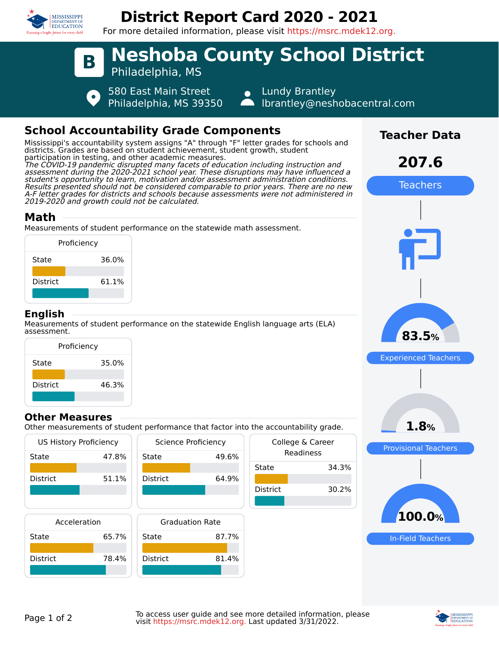

# **District Report Card 2020 - 2021**

For more detailed information, please visit https://msrc.mdek12.org.



## **School Accountability Grade Components**

Mississippi's accountability system assigns "A" through "F" letter grades for schools and districts. Grades are based on student achievement, student growth, student participation in testing, and other academic measures. The COVID-19 pandemic disrupted many facets of education including instruction and assessment during the 2020-2021 school year. These disruptions may have influenced a student's opportunity to learn, motivation and/or assessment administration conditions. Results presented should not be considered comparable to prior years. There are no new A-F letter grades for districts and schools because assessments were not administered in 2019-2020 and growth could not be calculated.

#### **Math**

Measurements of student performance on the statewide math assessment.



### **English**

Measurements of student performance on the statewide English language arts (ELA) assessment.



#### **Other Measures**

Other measurements of student performance that factor into the accountability grade.





**Teacher Data**

**207.6**